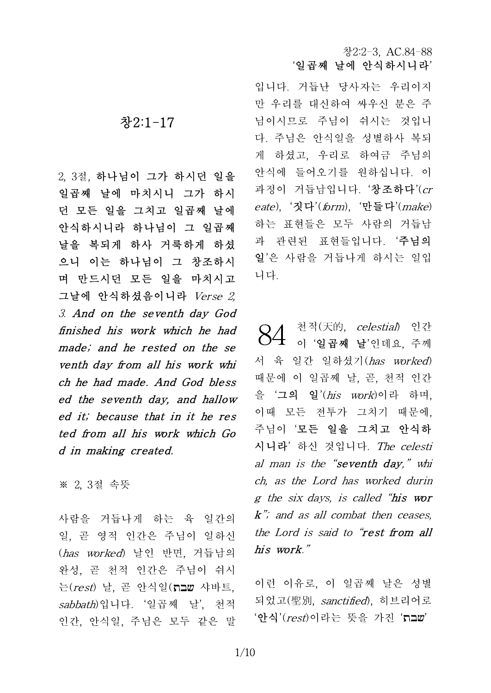입니다. 거듭난 당사자는 우리이지 만 우리를 대신하여 싸우신 분은 주 님이시므로 주님이 쉬시는 것입니 다. 주님은 안식일을 성별하사 복되 게 하셨고, 우리로 하여금 주님의 안식에 들어오기를 원하십니다. 이 과정이 거듭남입니다. '창조하다'( $cr$ eate), '짓다'(form), '만들다'(make) 하는 표현들은 모두 사람의 거듭남 과 관련된 표현들입니다. '주님의 일'은 사람을 거듭나게 하시는 일입 니다.

천적(天的, celestial) 인간 이 '일곱째 날'인데요, 주께 서 육 일간 일하셨기(has worked) 때문에 이 일곱째 날, 곧, 천적 인간 을 '그의 일'(his work)이라 하며, 이때 모든 전투가 그치기 때문에, 주님이 '모든 일을 그치고 안식하 시니라' 하신 것입니다. The celesti al man is the "seventh day," whi ch, as the Lord has worked durin g the six days, is called "his wor  $k$ "; and as all combat then ceases, the Lord is said to "rest from all his work." 84

이런 이유로, 이 일곱째 날은 성별 되었고(聖別, sanctified), 히브리어로 '안식'(*rest*)이라는 뜻을 가진 '**תבת**'

# 창2:1-17

2, 3절, 하나님이 그가 하시던 일을 일곱째 날에 마치시니 그가 하시 던 모든 일을 그치고 일곱째 날에 안식하시니라 하나님이 그 일곱째 날을 복되게 하사 거룩하게 하셨 으니 이는 하나님이 그 창조하시 며 만드시던 모든 일을 마치시고 그날에 안식하셨음이니라 Verse 2, 3. And on the seventh day God finished his work which he had made; and he rested on the se venth day from all his work whi ch he had made. And God bless ed the seventh day, and hallow ed it; because that in it he res ted from all his work which Go d in making created.

※ 2, 3절 속뜻

사람을 거듭나게 하는 육 일간의 일, 곧 영적 인간은 주님이 일하신 (has worked) 날인 반면, 거듭남의 완성, 곧 천적 인간은 주님이 쉬시 는( $rest$ ) 날, 곧 안식일(הבע 샤바트, sabbath)입니다. '일곱째 날', 천적 인간, 안식일, 주님은 모두 같은 말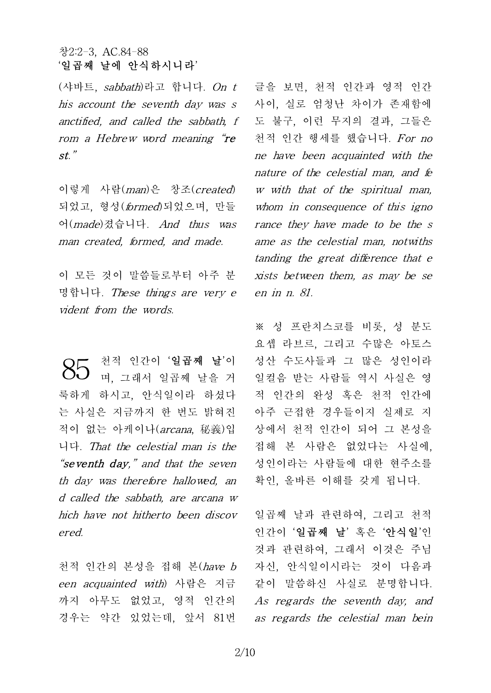(샤바트, sabbath)라고 합니다. On t his account the seventh day was s anctified, and called the sabbath, f rom a Hebrew word meaning "re st."

이렇게 사람(man)은 창조(created) 되었고, 형성(formed)되었으며, 만들 어(made)졌습니다. And thus was man created, formed, and made.

이 모든 것이 말씀들로부터 아주 분 명합니다. These things are very e vident from the words.

천적 인간이 '일곱째 날'이 며, 그래서 일곱째 날을 거 룩하게 하시고, 안식일이라 하셨다 는 사실은 지금까지 한 번도 밝혀진 적이 없는 아케이나(arcana, 秘義)입 니다. That the celestial man is the "seventh day," and that the seven th day was therefore hallowed, an d called the sabbath, are arcana w hich have not hitherto been discov ered. 85

천적 인간의 본성을 접해 본(have b een acquainted with) 사람은 지금 까지 아무도 없었고, 영적 인간의 경우는 약간 있었는데, 앞서 81번 글을 보면, 천적 인간과 영적 인간 사이, 실로 엄청난 차이가 존재함에 도 불구, 이런 무지의 결과, 그들은 천적 인간 행세를 했습니다. For no ne have been acquainted with the nature of the celestial man, and fe w with that of the spiritual man, whom in consequence of this igno rance they have made to be the s ame as the celestial man, notwiths tanding the great difference that e xists between them, as may be se en in n. 81.

※ 성 프란치스코를 비롯, 성 분도 요셉 라브르, 그리고 수많은 아토스 성산 수도사들과 그 많은 성인이라 일컬음 받는 사람들 역시 사실은 영 적 인간의 완성 혹은 천적 인간에 아주 근접한 경우들이지 실제로 지 상에서 천적 인간이 되어 그 본성을 접해 본 사람은 없었다는 사실에, 성인이라는 사람들에 대한 현주소를 확인, 올바른 이해를 갖게 됩니다.

일곱째 날과 관련하여, 그리고 천적 인간이 '일곱째 날' 혹은 '안식일'인 것과 관련하여, 그래서 이것은 주님 자신, 안식일이시라는 것이 다음과 같이 말씀하신 사실로 분명합니다. As regards the seventh day, and as regards the celestial man bein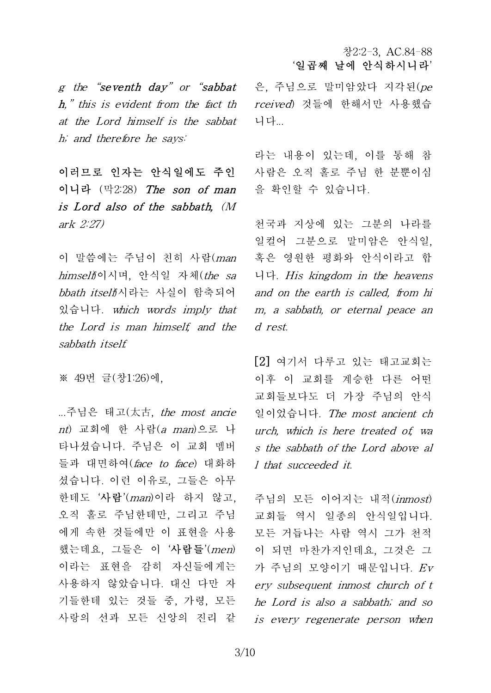g the "seventh day" or "sabbat" h," this is evident from the fact th at the Lord himself is the sabbat h; and therefore he says:

이러므로 인자는 안식일에도 주인 이니라 (막2:28) The son of man is Lord also of the sabbath, (M ark 2:27)

이 말씀에는 주님이 친히 사람(man himself)이시며, 안식일 자체(the sa bbath itself(시라는 사실이 함축되어 있습니다. which words imply that the Lord is man himself, and the sabbath itself.

※ 49번 글(창1:26)에,

...주님은 태고(太古, the most ancie nt) 교회에 한 사람(a man)으로 나 타나셨습니다. 주님은 이 교회 멤버 들과 대면하여(face to face) 대화하 셨습니다. 이런 이유로, 그들은 아무 한테도 '사람'(man)이라 하지 않고, 오직 홀로 주님한테만, 그리고 주님 에게 속한 것들에만 이 표현을 사용 했는데요, 그들은 이 '사람들'(men) 이라는 표현을 감히 자신들에게는 사용하지 않았습니다. 대신 다만 자 기들한테 있는 것들 중, 가령, 모든 사랑의 선과 모든 신앙의 진리 같

은, 주님으로 말미암았다 지각된(pe rceived) 것들에 한해서만 사용했습 니다...

라는 내용이 있는데, 이를 통해 참 사람은 오직 홀로 주님 한 분뿐이심 을 확인할 수 있습니다.

천국과 지상에 있는 그분의 나라를 일컬어 그분으로 말미암은 안식일, 혹은 영원한 평화와 안식이라고 합 니다. His kingdom in the heavens and on the earth is called, from hi m, a sabbath, or eternal peace an d rest.

[2] 여기서 다루고 있는 태고교회는 이후 이 교회를 계승한 다른 어떤 교회들보다도 더 가장 주님의 안식 일이었습니다. The most ancient ch urch, which is here treated of, wa s the sabbath of the Lord above al l that succeeded it.

주님의 모든 이어지는 내적(inmost) 교회들 역시 일종의 안식일입니다. 모든 거듭나는 사람 역시 그가 천적 이 되면 마찬가지인데요, 그것은 그 가 주님의 모양이기 때문입니다. Ev ery subsequent inmost church of t he Lord is also a sabbath; and so is every regenerate person when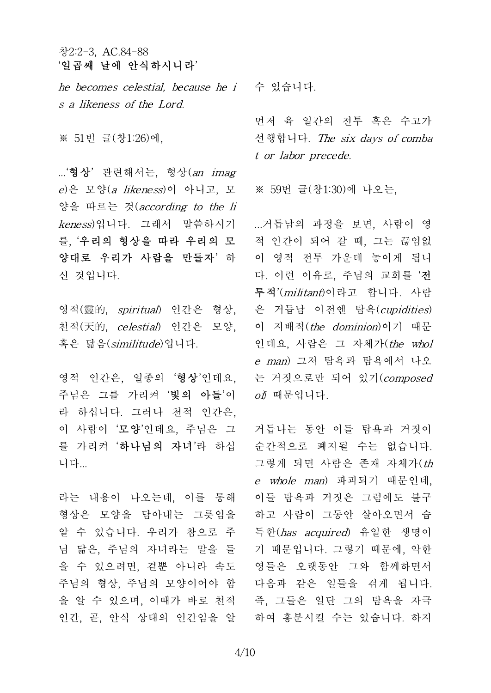he becomes celestial, because he i 수 있습니다. s a likeness of the Lord.

※ 51번 글(창1:26)에,

...'형상' 관련해서는, 형상(an imag e)은 모양(a likeness)이 아니고, 모 양을 따르는 것(according to the li keness)입니다. 그래서 말씀하시기 를, '우리의 형상을 따라 우리의 모 양대로 우리가 사람을 만들자' 하 신 것입니다.

영적(靈的, spiritual) 인간은 형상, 천적(天的, celestial) 인간은 모양, 혹은 닮음(similitude)입니다.

영적 인간은, 일종의 '형상'인데요, 주님은 그를 가리켜 '빛의 아들'이 라 하십니다. 그러나 천적 인간은, 이 사람이 '모양'인데요, 주님은 그 를 가리켜'**하나님의 자녀**'라 하십 니다...

라는 내용이 나오는데, 이를 통해 형상은 모양을 담아내는 그릇임을 알 수 있습니다. 우리가 참으로 주 님 닮은, 주님의 자녀라는 말을 들 을 수 있으려면, 겉뿐 아니라 속도 주님의 형상, 주님의 모양이어야 함 을 알 수 있으며, 이때가 바로 천적 인간, 곧, 안식 상태의 인간임을 알

먼저 육 일간의 전투 혹은 수고가 선행합니다. The six days of comba t or labor precede.

※ 59번 글(창1:30)에 나오는,

...거듭남의 과정을 보면, 사람이 영 적 인간이 되어 갈 때, 그는 끊임없 이 영적 전투 가운데 놓이게 됩니 다. 이런 이유로, 주님의 교회를 '전 투적'(militant)이라고 합니다. 사람 은 거듭남 이전엔 탐욕(cupidities) 이 지배적(*the dominion*)이기 때문 인데요, 사람은 그 자체가(the whol e man) 그저 탐욕과 탐욕에서 나오 는 거짓으로만 되어 있기(composed  $\partial \tilde{D}$  때문입니다.

거듭나는 동안 이들 탐욕과 거짓이 순간적으로 폐지될 수는 없습니다. 그렇게 되면 사람은 존재 자체가(th e whole man) 파괴되기 때문인데, 이들 탐욕과 거짓은 그럼에도 불구 하고 사람이 그동안 살아오면서 습 득한(has acquired) 유일한 생명이 기 때문입니다. 그렇기 때문에, 악한 영들은 오랫동안 그와 함께하면서 다음과 같은 일들을 겪게 됩니다. 즉, 그들은 일단 그의 탐욕을 자극 하여 흥분시킬 수는 있습니다. 하지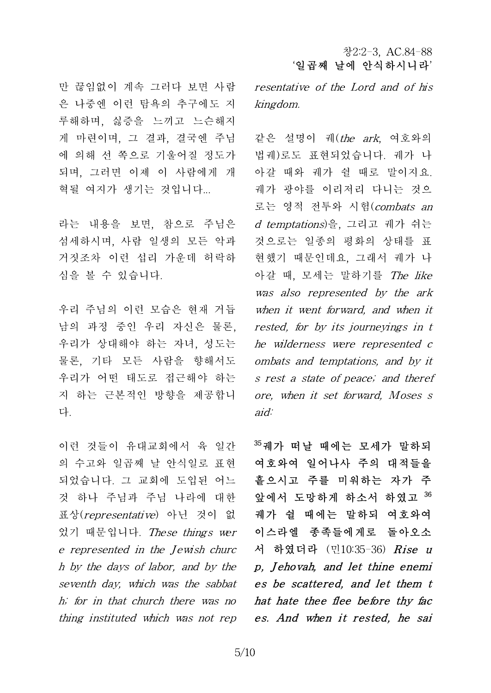만 끊임없이 계속 그러다 보면 사람 은 나중엔 이런 탐욕의 추구에도 지 루해하며, 싫증을 느끼고 느슨해지 게 마련이며, 그 결과, 결국엔 주님 에 의해 선 쪽으로 기울어질 정도가 되며, 그러면 이제 이 사람에게 개 혁될 여지가 생기는 것입니다...

라는 내용을 보면, 참으로 주님은 섬세하시며, 사람 일생의 모든 악과 거짓조차 이런 섭리 가운데 허락하 심을 볼 수 있습니다.

우리 주님의 이런 모습은 현재 거듭 남의 과정 중인 우리 자신은 물론, 우리가 상대해야 하는 자녀, 성도는 물론, 기타 모든 사람을 향해서도 우리가 어떤 태도로 접근해야 하는 지 하는 근본적인 방향을 제공합니 다.

이런 것들이 유대교회에서 육 일간 의 수고와 일곱째 날 안식일로 표현 되었습니다. 그 교회에 도입된 어느 것 하나 주님과 주님 나라에 대한 표상(representative) 아닌 것이 없 었기 때문입니다. These things wer e represented in the Jewish churc thing instituted which was not rep resentative of the Lord and of his kingdom.

같은 설명이 궤(the ark, 여호와의 법궤)로도 표현되었습니다. 궤가 나 아갈 때와 궤가 쉴 때로 말이지요. 궤가 광야를 이리저리 다니는 것으 로는 영적 전투와 시험(combats an d temptations)을, 그리고 궤가 쉬는 것으로는 일종의 평화의 상태를 표 현했기 때문인데요, 그래서 궤가 나 아갈 때, 모세는 말하기를 The like was also represented by the ark when it went forward, and when it rested, for by its journeyings in t he wilderness were represented c ombats and temptations, and by it s rest a state of peace; and theref ore, when it set forward, Moses s aid:

h by the days of labor, and by the  $p$ , **Jehovah, and let thine enemi** seventh day, which was the sabbat es be scattered, and let them t h; for in that church there was no **hat hate thee flee before thy fac**  $^{35}$ 궤가 떠날 때에는 모세가 말하되 여호와여 일어나사 주의 대적들을 흩으시고 주를 미워하는 자가 주 앞에서 도망하게 하소서 하였고 <sup>36</sup> 궤가 쉴 때에는 말하되 여호와여 이스라엘 종족들에게로 돌아오소 서 하였더라 (민10:35-36) *Rise u* 앞에서 노망하게 하소서 하였고 <sup>33</sup><br>궤가 쉴 때에는 말하되 여호와여<br>이스라엘 종족들에게로 돌아오소<br>서 하였더라 (민10:35-36) *Rise u<br>p, Jehovah, and let thine enemi*<br>*es be scattered, and let them t* 케가 열 때에는 발하뇌 여호와여<br>이스라엘 종족들에게로 돌아오소<br>서 하였더라 (민10:35-36) *Rise u<br>p, Jehovah, and let thine enemi*<br>*es be scattered, and let them t*<br>het hate thee flee before thy fac 이스다엘 종속들에게도 *들아오소*<br>서 하였더라 (민10:35-36) *Rise u*<br>*p, Jehovah, and let thine enemi*<br>*es be scattered, and let them t<br>hat hate thee flee before thy fac*<br>*es And when it rested, he sai* es. And when it rested, he sai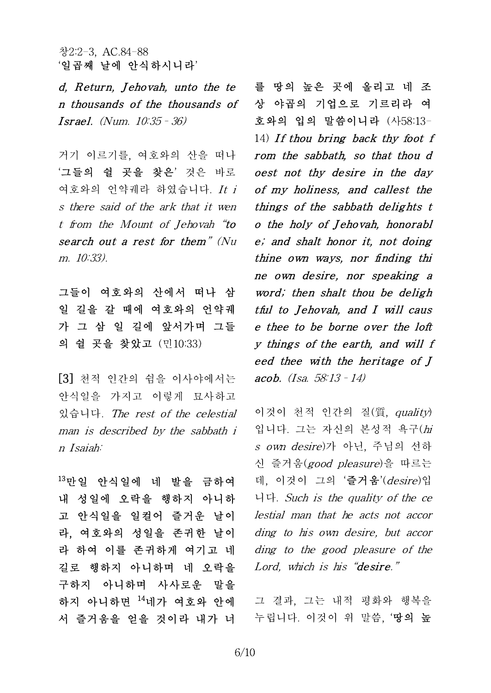창2:2-3, AC.84-88<br>'일곱째 날에 안식하시니라'<br>*d, Return, Jehovah, unto the te*<br>Fither the thousands of n thousands of the thousands of *d, Return, Jehovah, unto the te*<br>*n thousands of the thousands of*<br>*Israel.* (Num.  $10:35 - 36$ )

거기 이르기를, 여호와의 산을 떠나 '그들의 쉴 곳을 찾은' 것은 바로 여호와의 언약궤라 하였습니다. It i s there said of the ark that it wen t from the Mount of Jehovah "to  $\bullet$  o the holy of Jehovah, honorabl search out a rest for them" (Nu m. 10:33).

그들이 여호와의 산에서 떠나 삼 일 길을 갈 때에 여호와의 언약궤 tful to Jehovah, and I will caus 가 그 삼 일 길에 앞서가며 그들 e thee to be borne over the loft 의 쉴 곳을 찾았고 (민10:33)

[3] 천적 인간의 쉼을 이사야에서는 안식일을 가지고 이렇게 묘사하고 있습니다. The rest of the celestial man is described by the sabbath i n Isaiah:

<sup>13</sup>만일 안식일에 네 발을 금하여 내 성일에 오락을 행하지 아니하 고 안식일을 일컬어 즐거운 날이 라, 여호와의 성일을 존귀한 날이 라 하여 이를 존귀하게 여기고 네 길로 행하지 아니하며 네 오락을 구하지 아니하며 사사로운 말을 하지 아니하면 <sup>14</sup>네가 여호와 안에 서 즐거움을 얻을 것이라 내가 너

를 땅의 높은 곳에 올리고 네 조 상 야곱의 기업으로 기르리라 여 호와의 입의 말씀이니라 (사58:13- 를 땅의 높은 곳에 올리고 네 조<br>상 야곱의 기업으로 기르리라 여<br>호와의 입의 말씀이니라 (사58:13-<br>14) *If thou bring back thy foot f* rom the sabbath, so that thou d oest not thy desire in the day of my holiness, and callest the things of the sabbath delights t rom the sabbath, so that thou d<br>oest not thy desire in the day<br>of my holiness, and callest the<br>things of the sabbath delights t<br>o the holy of Jehovah, honorabl<br>e' and shalt bonor it not doing e; and shalt honor it, not doing thine own ways, nor finding thi ne own desire, nor speaking a word; then shalt thou be deligh e, and shalt honor it, not doing<br>thine own ways, nor finding thi<br>ne own desire, nor speaking a<br>word; then shalt thou be deligh<br>tful to Jehovah, and I will caus<br>e thee to be borne over the loft thine own ways, nor finding thin<br>the own desire, nor speaking a<br>word; then shalt thou be deligh<br>tful to Jehovah, and I will caus<br>e thee to be borne over the loft<br>v things of the earth and will f ne own desire, nor speaking a<br>word; then shalt thou be deligh<br>tful to Jehovah, and I will caus<br>e thee to be borne over the loft<br>y things of the earth, and will f<br>eed thee with the beritage of I word; then shalt thou be deligh<br>tful to Jehovah, and I will caus<br>e thee to be borne over the loft<br>y things of the earth, and will f<br>eed thee with the heritage of J<br>acob (Isa 58:13 - 14) acob. (Isa. 58:13–14)

이것이 천적 인간의 질(質, quality) 입니다. 그는 자신의 본성적 욕구(hi s own desire)가 아닌, 주님의 선하 신 즐거움(good pleasure)을 따르는 데, 이것이 그의 '즐거움'(*desire*)입 니다. Such is the quality of the ce lestial man that he acts not accor ding to his own desire, but accor ding to the good pleasure of the Lord, which is his "desire."

그 결과, 그는 내적 평화와 행복을 누립니다. 이것이 위 말씀, '땅의 높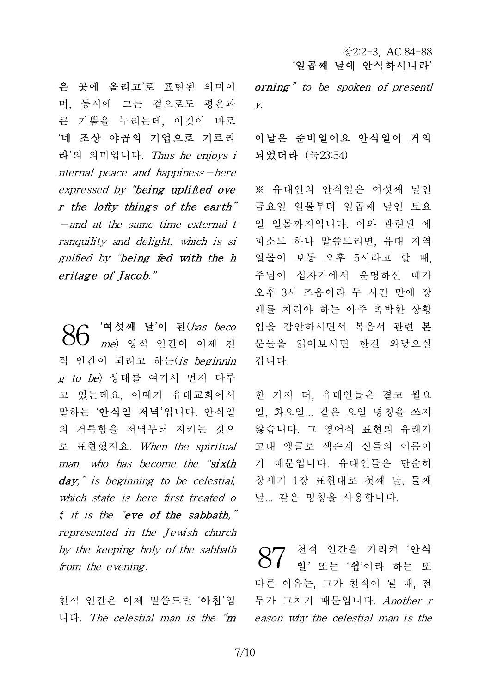은 곳에 올리고'로 표현된 의미이 며, 동시에 그는 겉으로도 평온과 큰 기쁨을 누리는데, 이것이 바로 '네 조상 야곱의 기업으로 기르리 라'의 의미입니다. Thus he enjoys i nternal peace and happiness—here expressed by "being uplifted ove 데 소상 야곱의 기업으로 기트리 - 이달은 준!<br>라'의 의미입니다. *Thus he enjoys i* - 되었더라 (<br>*nternal peace and happiness-here*<br>expressed by "**being uplifted ove - ※** 유대인의<br>**r the lofty things of the earth**" - 금요일 일들<br>- and at the same time external  $-$ and at the same time external t ranquility and delight, which is si gnified by "being fed with the h  $2^{\frac{m}{2}}$ r the lofty things of the ear<br>-and at the same time exter.<br>ranquility and delight, which<br>gnified by "being fed with t.<br>eritage of Jacob."

'여섯째 날'이 된(has beco  $86\,$  '여섯째 날'이 된(*has beco* ) 임을 감안하<br>- 1960 *me*) 영적 인간이 이제 천 - 문들을 읽어 적 인간이 되려고 하는(is beginnin  $g$  to be) 상태를 여기서 먼저 다루 고 있는데요, 이때가 유대교회에서 말하는 '안식일 저녁'입니다. 안식일 의 거룩함을 저녁부터 지키는 것으 로 표현했지요. When the spiritual man, who has become the "sixth day," is beginning to be celestial, which state is here first treated o f, it is the "eve of the sabbath," represented in the Jewish church by the keeping holy of the sabbath from the evening.

천적 인간은 이제 말씀드릴 '아침'입

orning" to be spoken of presentl y.

## 이날은 준비일이요 안식일이 거의 되었더라 (눅23:54)

※ 유대인의 안식일은 여섯째 날인 금요일 일몰부터 일곱째 날인 토요 일 일몰까지입니다. 이와 관련된 에 피소드 하나 말씀드리면, 유대 지역 일몰이 보통 오후 5시라고 할 때, 주님이 십자가에서 운명하신 때가 오후 3시 즈음이라 두 시간 만에 장 례를 치러야 하는 아주 촉박한 상황 임을 감안하시면서 복음서 관련 본 문들을 읽어보시면 한결 와닿으실 겁니다.

한 가지 더, 유대인들은 결코 월요 일, 화요일... 같은 요일 명칭을 쓰지 않습니다. 그 영어식 표현의 유래가 고대 앵글로 색슨계 신들의 이름이 기 때문입니다. 유대인들은 단순히 창세기 1장 표현대로 첫째 날, 둘째 날... 같은 명칭을 사용합니다.

니다. The celestial man is the "m eason why the celestial man is the 천적 인간을 가리켜'**안식**  $87$  <sup>천적 인간을 가리켜 '안식<br> $8$  일' 또는 '쉼'이라 하는 또</sup> 다른 이유는, 그가 천적이 될 때, 전 투가 그치기 때문입니다. Another r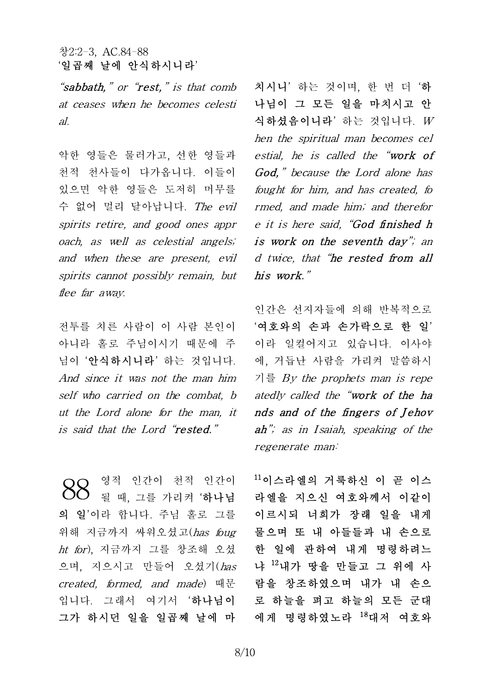"sabbath." or "rest." is that comb at ceases when he becomes celesti al.

악한 영들은 물러가고, 선한 영들과 천적 천사들이 다가옵니다. 이들이 있으면 악한 영들은 도저히 머무를 수 없어 멀리 달아납니다. The evil spirits retire, and good ones appr oach, as well as celestial angels; and when these are present, evil spirits cannot possibly remain, but flee far awav.

전투를 치른 사람이 이 사람 본인이 아니라 홀로 주님이시기 때문에 주 님이 '안식하시니라' 하는 것입니다. And since it was not the man him self who carried on the combat, b ut the Lord alone for the man, it  $\Box$  nds and of the fingers of Jehov is said that the Lord "rested."

영적 인간이 천적 인간이 될 때, 그를 가리켜 '하나님 의 일'이라 합니다. 주님 홀로 그를 위해 지금까지 싸워오셨고(has foug  $ht$   $for$ ), 지금까지 그를 창조해 오셨 으며, 지으시고 만들어 오셨기(has created, formed, and made) 때문 입니다. 그래서 여기서 '하나님이 그가 하시던 일을 일곱째 날에 마 88

치시니' 하는 것이며, 한 번 더 '하 나님이 그 모든 일을 마치시고 안 식하셨음이니라' 하는 것입니다. W hen the spiritual man becomes cel estial, he is called the "work of God," because the Lord alone has fought for him, and has created, fo rmed, and made him; and therefor e it is here said, "God finished h is work on the seventh day"; an d twice, that "he rested from all his work."

인간은 선지자들에 의해 반복적으로 '여호와의 손과 손가락으로 한 일' 이라 일컬어지고 있습니다. 이사야 에, 거듭난 사람을 가리켜 말씀하시 기를 By the prophets man is repe atedly called the "work of the ha 이다 일걸어시고 있습니다. 이사야<br>에, 거듭난 사람을 가리켜 말씀하시<br>기를 *By the prophets man is repe<br>atedly called the "work of the ha<br>nds and of the fingers of Jehov<br>ab" as in Isaiah speaking of the* ah"; as in Isaiah, speaking of the regenerate man:

 $11$ 이스라엘의 거룩하신 이 곧 이스 라엘을 지으신 여호와께서 이같이 이르시되 너희가 장래 일을 내게 물으며 또 내 아들들과 내 손으로 한 일에 관하여 내게 명령하려느 냐 <sup>12</sup>내가 땅을 만들고 그 위에 사 람을 창조하였으며 내가 내 손으 로 하늘을 펴고 하늘의 모든 군대 에게 명령하였노라 <sup>18</sup>대저 여호와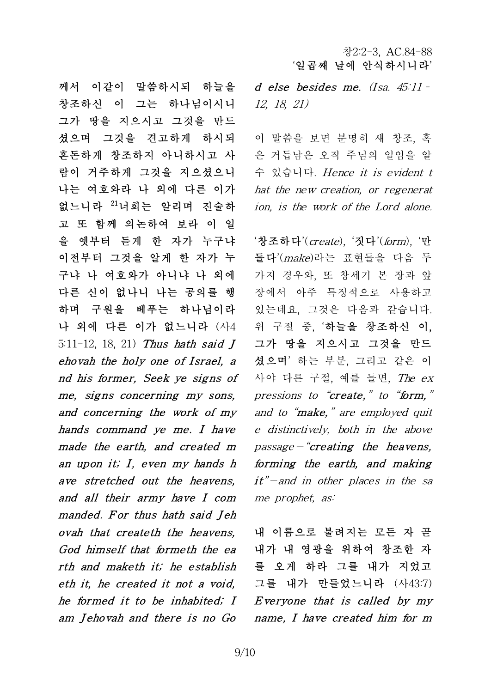d else besides me. (Isa. 45:11– 12, 18, 21)

이 말씀을 보면 분명히 새 창조, 혹 은 거듭남은 오직 주님의 일임을 알 수 있습니다. Hence it is evident t hat the new creation, or regenerat ion, is the work of the Lord alone.

 $\lq$ 상조하다'(create), '짓다'(form), '만 들다'(make)라는 표현들을 다음 두 가지 경우와, 또 창세기 본 장과 앞 장에서 아주 특징적으로 사용하고 있는데요, 그것은 다음과 같습니다. 위 구절 중, '하늘을 창조하신 이, 그가 땅을 지으시고 그것을 만드 셨으며' 하는 부분, 그리고 같은 이 사야 다른 구절, 예를 들면, The  $ex$ pressions to "create," to "form," and to "**make**," are employed quit e distinctively, both in the above  $passage - "creating the hexens,$ pressions to create, to form,<br>and to "make," are employed quit<br>e distinctively, both in the above<br>passage - "creating the heavens,<br>forming the earth, and making<br>it" - and in other places in the sa it"—and in other places in the sa me prophet, as:

ovah that createth the heavens, 내 이름으로 불려지는 모든 자 곧<br>God himself that formeth the ea 내가 내 영광을 위하여 창조한 자<br>rth and maketh it; he establish 를 오게 하라 그를 내가 지었고<br>eth it, he created it not a void, 그를 내가 만들었느니라 (사43:7)<br>he formed it 내 이름으로 불려지는 모든 자 곧 내가 내 영광을 위하여 창조한 자 를 오게 하라 그를 내가 지었고 그를 내가 만들었느니라 (사43:7) 내 이듬으도 둘러시는 모는 사 곧<br>내가 내 영광을 위하여 창조한 자<br>를 오게 하라 그를 내가 지었고<br>그를 내가 만들었느니라 (사43:7)<br>*Everyone that is called by my*<br>name *I have created bim for m* name, I have created him for m

께서 이같이 말씀하시되 하늘을 창조하신 이 그는 하나님이시니 그가 땅을 지으시고 그것을 만드 셨으며 그것을 견고하게 하시되 혼돈하게 창조하지 아니하시고 사 람이 거주하게 그것을 지으셨으니 나는 여호와라 나 외에 다른 이가 없느니라 <sup>21</sup>너희는 알리며 진술하 고 또 함께 의논하여 보라 이 일 을 옛부터 듣게 한 자가 누구냐 이전부터 그것을 알게 한 자가 누 구냐 나 여호와가 아니냐 나 외에 다른 신이 없나니 나는 공의를 행 하며 구원을 베푸는 하나님이라 나 외에 다른 이가 없느니라 (사4 5:11-12, 18, 21) Thus hath said  $J$ 나른 신이 없나니 나는 공의들 행 - 장에서<br>하며 구원을 베푸는 하나님이라 - 있는데<br>나 외에 다른 이가 없느니라 (사4 - 위 구<br>5:11-12, 18, 21) *Thus hath said J -* 그가<br>*ehovah the holy one of Israel, a* - 셨으며<br>*nd his former. Seek ve signs of* - 사야 하며 구원을 베푸는 하나님이다<br>나 외에 다른 이가 없느니라 (사4) 위<br>5:11-12, 18, 21) *Thus hath said J*<br>*chovah the holy one of Israel, a* 셨<br>*nd his former, Seek ye signs of* 사  $H \cong H + H \cong H + H$ <br>
5:11-12, 18, 21) Thus hath said J<br>
ehovah the holy one of Israel, a<br>
nd his former, Seek ye signs of<br>
me, signs concerning my sons,<br>
and concerning the work of my  $5:11-12$ , 18, 21) Thus hath said  $J = \pm 7$ <br>ehovah the holy one of Israel, a  $2\pi$ <br>nd his former, Seek ye signs of  $\lambda$  +  $\circ$  +<br>me, signs concerning my sons, press<br>and concerning the work of my and thands command ye me I hands command ye me. I have e d made the earth, and created m me, signs concerning my sons, press<br>and concerning the work of my and a<br>hands command ye me. I have e dis<br>made the earth, and created m passa<br>an upon it; I, even my hands h form.<br>ave stratched out the beavens it" and concerning the work of my<br>hands command ye me. I have<br>made the earth, and created m<br>an upon it; I, even my hands h<br>ave stretched out the heavens,<br>and all their army have I com and all their army have I com made the earth, and created m  $passage - c$ <br>an upon it; I, even my hands h forming th<br>ave stretched out the heavens, it"-and in<br>and all their army have I com me prophet<br>manded. For thus hath said Jeh<br>ovah that create the heavens an upon it; I, even my hands h forming the earth, and making<br>ave stretched out the heavens, it"-and in other places in the sa<br>and all their army have I com me prophet, as:<br>manded. For thus hath said Jeh<br>ovah that createt ave stretched out the heavens, it<br>and all their army have I com me<br>manded. For thus hath said Jeh<br>ovah that createth the heavens,  $H$ <br>God himself that formeth the ea<br>rth and maketh it he establish and all their army have I com me p<br>manded. For thus hath said Jeh<br>ovah that createth the heavens,  $H \circ$ <br>God himself that formeth the ea  $H \mathcal{F}$ <br>rth and maketh it; he establish  $\equiv$  S<br>eth it he created it not a void  $H \equiv$ he formed it to be inhabited; I *God nimselt that formeth the ea*<br>*rth and maketh it; he establish* 를<br>*eth it, he created it not a void,* 그를<br>*he formed it to be inhabited; I Eve*<br>*am Jehovah and there is no Go nam*